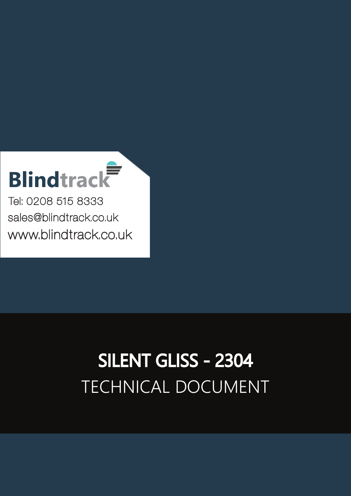## **Blindtrack**

Tel: 0208 515 8333 [sales@blindtrack.co.uk](mailto:sales%40blindtrack.co.uk?subject=) [www.blindtrack.co.uk](http://www.blindtrack.co.uk)

## TECHNICAL DOCUMENT SILENT GLISS - 2304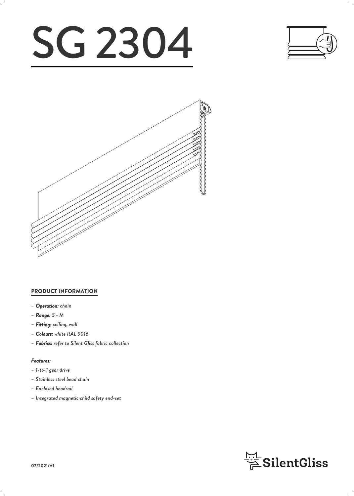# SG 2304





#### PRODUCT INFORMATION

- *– Operation: chain*
- *– Range: S M*
- *– Fitting: ceiling, wall*
- *– Colours: white RAL 9016*
- *– Fabrics: refer to Silent Gliss fabric collection*

#### *Features:*

- *– 1-to-1 gear drive*
- *– Stainless steel bead chain*
- *– Enclosed headrail*
- *– Integrated magnetic child safety end-set*

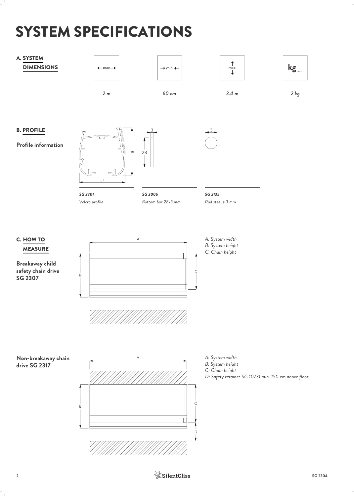## SYSTEM SPECIFICATIONS

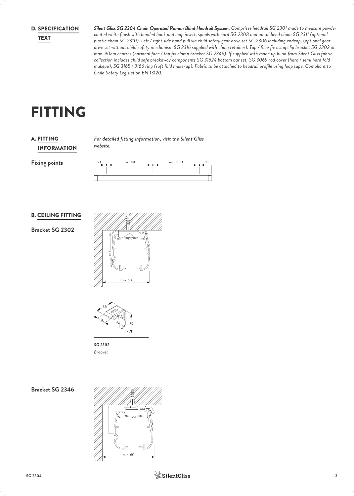**D. SPECIFICATION** 

*Silent Gliss SG 2304 Chain Operated Roman Blind Headrail System. Comprises headrail SG 2301 made to measure powder* SPECIFICATION *coated white finish with bonded hook and loop insert, spools with cord SG 2308 and metal bead chain SG 2311 (optional plastic chain SG 2310). Left / right side hand pull via child safety gear drive set SG 2306 including endcap, (optional gear* TEXT *drive set without child safety mechanism SG 2316 supplied with chain retainer). Top / face fix using clip bracket SG 2302 at max. 90cm centres (optional face / top fix clamp bracket SG 2346). If supplied with made up blind from Silent Gliss fabric collection includes child safe breakaway components SG 31624 bottom bar set, SG 3069 rod cover (hard / semi hard fold makeup), SG 3165 / 3166 ring (soft fold make-up). Fabric to be attached to headrail profile using loop tape. Compliant to Child Safety Legislation EN 13120.*

## FITTING

#### INFORMATION **A. FITTING**

*For detailed fitting information, visit the Silent Gliss* FITTING *website.*

**Fixing points**

| 50 | max. 900 | max. 900<br>- - |  |
|----|----------|-----------------|--|
|    |          |                 |  |
|    |          |                 |  |
|    |          |                 |  |

#### B. CEILING FITTING

**Bracket SG 2302**





*SG 2302 Bracket*

**Bracket SG 2346**

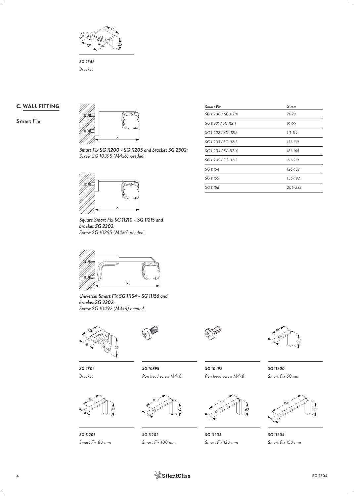

*SG 2346 Bracket*

#### C. WALL FITTING

**Smart Fix**



*Smart Fix SG 11200 - SG 11205 and bracket SG 2302: Screw SG 10395 (M4x6) needed.*



*Square Smart Fix SG 11210 - SG 11215 and bracket SG 2302: Screw SG 10395 (M4x6) needed.*



*Universal Smart Fix SG 11154 - SG 11156 and bracket SG 2302: Screw SG 10492 (M4x8) needed.*



*Bracket*









*SG 10395 Pan head screw M4x6 Pan head screw M4x8 SG 10492 SG 11200*



*SG 11202 Smart Fix 100 mm*



*Smart Fix 60 mm*



*SG 11203 SG 11204 Smart Fix 120 mm Smart Fix 150 mm*

| <b>Smart Fix</b>    | X mm        |  |
|---------------------|-------------|--|
| SG 11200 / SG 11210 | $71 - 79$   |  |
| SG 11201 / SG 11211 | $91 - 99$   |  |
| SG 11202 / SG 11212 | $111 - 119$ |  |
| SG 11203 / SG 11213 | 131-139     |  |
| SG 11204 / SG 11214 | $161 - 164$ |  |
| SG 11205 / SG 11215 | $211 - 219$ |  |
| SG 11154            | $126 - 152$ |  |
| SG 11155            | 156-182     |  |
| SG 11156            | 206-232     |  |
|                     |             |  |

**4 1 SilentGliss** SG 2304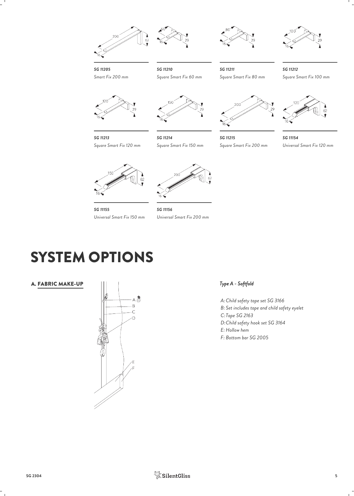





*SG 11211*



*Square Smart Fix 80 mm Square Smart Fix 100 mm SG 11212*



*SG 11213*



*Square Smart Fix 120 mm*



*Square Smart Fix 60 mm*

*SG 11214 Square Smart Fix 150 mm*



*SG 11215 SG 11154 Square Smart Fix 200 mm Universal Smart Fix 120 mm*





*SG 11155 SG 11156 Universal Smart Fix 150 mm Universal Smart Fix 200 mm*

### SYSTEM OPTIONS

A. FABRIC MAKE-UP



#### *Type A - Softfold*

*Child safety tape set SG 3166 A: Set includes tape and child safety eyelet B: Tape SG 2163 C: Child safety hook set SG 3164 D: Hollow hem E: Bottom bar SG 2005 F:*

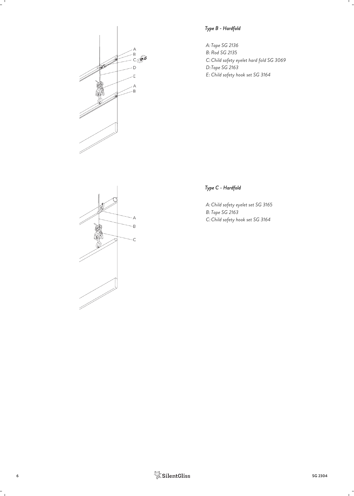

#### *Type B - Hardfold*

*Tape SG 2136 A: Rod SG 2135 B:* C: Child safety eyelet hard fold SG 3069 *Tape SG 2163 D: Child safety hook set SG 3164 E:*



#### *Type C - Hardfold*

*Child safety eyelet set SG 3165 A: Tape SG 2163 B: Child safety hook set SG 3164 C:*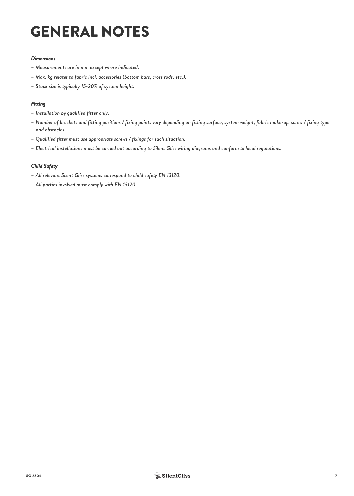## GENERAL NOTES

#### *Dimensions*

- *– Measurements are in mm except where indicated.*
- *– Max. kg relates to fabric incl. accessories (bottom bars, cross rods, etc.).*
- *– Stack size is typically 15-20% of system height.*

#### *Fitting*

- *– Installation by qualified fitter only.*
- *– Number of brackets and fitting positions / fixing points vary depending on fitting surface, system weight, fabric make-up, screw / fixing type and obstacles.*
- *– Qualified fitter must use appropriate screws / fixings for each situation.*
- *– Electrical installations must be carried out according to Silent Gliss wiring diagrams and conform to local regulations.*

#### *Child Safety*

- *– All relevant Silent Gliss systems correspond to child safety EN 13120.*
- *– All parties involved must comply with EN 13120.*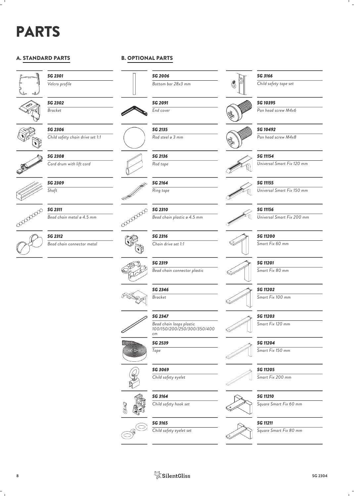## PARTS

#### A. STANDARD PARTS



*SG 2301 Velcro profile*

*SG 2302 Bracket*

*SG 2306*





*SG 2308*

*Cord drum with lift cord*

*Child safety chain drive set 1:1*



*SG 2309 Shaft*

coopoopoo *SG 2311*



#### B. OPTIONAL PARTS

*SG 2006*





*SG 2135 Rod steel ø 3 mm*

*SG 2136 Rod tape*

> *SG 2164 Ring tape*



*SG 2310*

*Bead chain metal ø 4.5 mm Bead chain plastic ø 4.5 mm*

*Chain drive set 1:1*



*SG 2319 Bead chain connector plastic*

*SG 2346*



*Bead chain loops plastic 100/150/200/250/300/350/400*



S







#### *SG 3166*

*Bottom bar 28x3 mm Child safety tape set*

#### *SG 10395*



*SG 10492*

*Pan head screw M4x8*

#### *SG 11154*

*Universal Smart Fix 120 mm*



*SG 11155 Universal Smart Fix 150 mm*



*SG 11156*

*Universal Smart Fix 200 mm*







*SG 11202*

*Smart Fix 100 mm*

*SG 11203*





*SG 11204 Smart Fix 150 mm*



*Smart Fix 200 mm*

*SG 11210*

*Square Smart Fix 60 mm*

*SG 11211*





*Child safety eyelet set*



*Tape*

*SG 3069 Child safety eyelet*

*SG 3164 Child safety hook set*

*SG 3165*

*Bracket SG 2347*





*SG 2316*